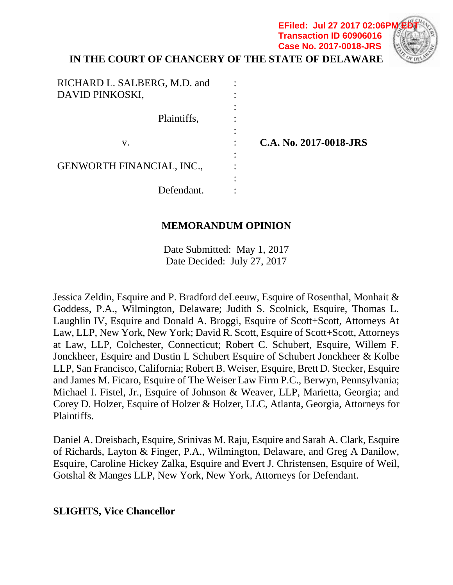# **IN THE COURT OF CHANCERY OF THE STATE OF DELAWARE Transaction ID 60906016 Case No. 2017-0018-JRS**

**EFiled: Jul 27 2017 02:06P** 

| RICHARD L. SALBERG, M.D. and<br>DAVID PINKOSKI, |                        |
|-------------------------------------------------|------------------------|
| Plaintiffs,                                     |                        |
| V.                                              | C.A. No. 2017-0018-JRS |
| <b>GENWORTH FINANCIAL, INC.,</b>                |                        |
| Defendant.                                      |                        |

# **MEMORANDUM OPINION**

Date Submitted: May 1, 2017 Date Decided: July 27, 2017

Jessica Zeldin, Esquire and P. Bradford deLeeuw, Esquire of Rosenthal, Monhait & Goddess, P.A., Wilmington, Delaware; Judith S. Scolnick, Esquire, Thomas L. Laughlin IV, Esquire and Donald A. Broggi, Esquire of Scott+Scott, Attorneys At Law, LLP, New York, New York; David R. Scott, Esquire of Scott+Scott, Attorneys at Law, LLP, Colchester, Connecticut; Robert C. Schubert, Esquire, Willem F. Jonckheer, Esquire and Dustin L Schubert Esquire of Schubert Jonckheer & Kolbe LLP, San Francisco, California; Robert B. Weiser, Esquire, Brett D. Stecker, Esquire and James M. Ficaro, Esquire of The Weiser Law Firm P.C., Berwyn, Pennsylvania; Michael I. Fistel, Jr., Esquire of Johnson & Weaver, LLP, Marietta, Georgia; and Corey D. Holzer, Esquire of Holzer & Holzer, LLC, Atlanta, Georgia, Attorneys for Plaintiffs.

Daniel A. Dreisbach, Esquire, Srinivas M. Raju, Esquire and Sarah A. Clark, Esquire of Richards, Layton & Finger, P.A., Wilmington, Delaware, and Greg A Danilow, Esquire, Caroline Hickey Zalka, Esquire and Evert J. Christensen, Esquire of Weil, Gotshal & Manges LLP, New York, New York, Attorneys for Defendant.

### **SLIGHTS, Vice Chancellor**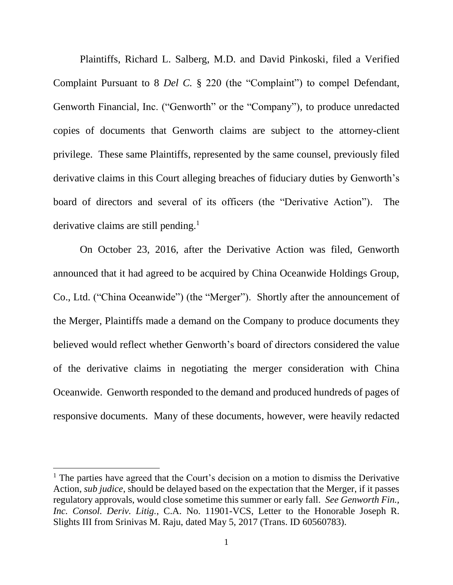Plaintiffs, Richard L. Salberg, M.D. and David Pinkoski, filed a Verified Complaint Pursuant to 8 *Del C.* § 220 (the "Complaint") to compel Defendant, Genworth Financial, Inc. ("Genworth" or the "Company"), to produce unredacted copies of documents that Genworth claims are subject to the attorney-client privilege. These same Plaintiffs, represented by the same counsel, previously filed derivative claims in this Court alleging breaches of fiduciary duties by Genworth's board of directors and several of its officers (the "Derivative Action"). The derivative claims are still pending.<sup>1</sup>

On October 23, 2016, after the Derivative Action was filed, Genworth announced that it had agreed to be acquired by China Oceanwide Holdings Group, Co., Ltd. ("China Oceanwide") (the "Merger"). Shortly after the announcement of the Merger, Plaintiffs made a demand on the Company to produce documents they believed would reflect whether Genworth's board of directors considered the value of the derivative claims in negotiating the merger consideration with China Oceanwide. Genworth responded to the demand and produced hundreds of pages of responsive documents. Many of these documents, however, were heavily redacted

 $<sup>1</sup>$  The parties have agreed that the Court's decision on a motion to dismiss the Derivative</sup> Action, *sub judice*, should be delayed based on the expectation that the Merger, if it passes regulatory approvals, would close sometime this summer or early fall. *See Genworth Fin., Inc. Consol. Deriv. Litig.*, C.A. No. 11901-VCS, Letter to the Honorable Joseph R. Slights III from Srinivas M. Raju, dated May 5, 2017 (Trans. ID 60560783).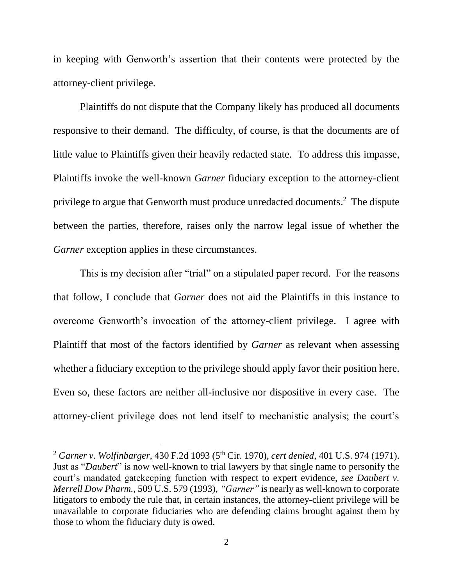in keeping with Genworth's assertion that their contents were protected by the attorney-client privilege.

Plaintiffs do not dispute that the Company likely has produced all documents responsive to their demand. The difficulty, of course, is that the documents are of little value to Plaintiffs given their heavily redacted state. To address this impasse, Plaintiffs invoke the well-known *Garner* fiduciary exception to the attorney-client privilege to argue that Genworth must produce unredacted documents. 2 The dispute between the parties, therefore, raises only the narrow legal issue of whether the *Garner* exception applies in these circumstances.

This is my decision after "trial" on a stipulated paper record. For the reasons that follow, I conclude that *Garner* does not aid the Plaintiffs in this instance to overcome Genworth's invocation of the attorney-client privilege. I agree with Plaintiff that most of the factors identified by *Garner* as relevant when assessing whether a fiduciary exception to the privilege should apply favor their position here. Even so, these factors are neither all-inclusive nor dispositive in every case. The attorney-client privilege does not lend itself to mechanistic analysis; the court's

 $\overline{a}$ 

<sup>2</sup> *Garner v. Wolfinbarger*, 430 F.2d 1093 (5th Cir. 1970), *cert denied*, 401 U.S. 974 (1971). Just as "*Daubert*" is now well-known to trial lawyers by that single name to personify the court's mandated gatekeeping function with respect to expert evidence, *see Daubert v. Merrell Dow Pharm.*, 509 U.S. 579 (1993), *"Garner"* is nearly as well-known to corporate litigators to embody the rule that, in certain instances, the attorney-client privilege will be unavailable to corporate fiduciaries who are defending claims brought against them by those to whom the fiduciary duty is owed.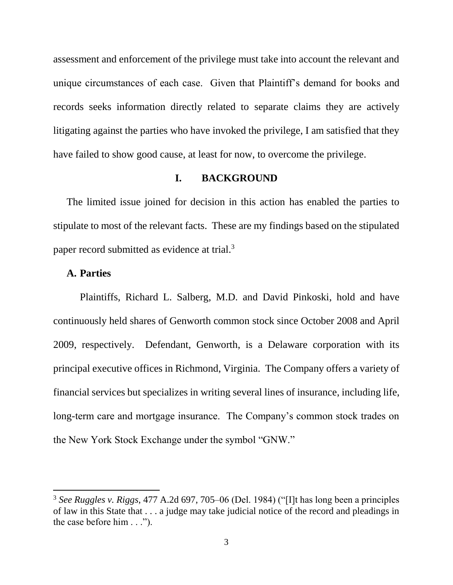assessment and enforcement of the privilege must take into account the relevant and unique circumstances of each case. Given that Plaintiff's demand for books and records seeks information directly related to separate claims they are actively litigating against the parties who have invoked the privilege, I am satisfied that they have failed to show good cause, at least for now, to overcome the privilege.

### **I. BACKGROUND**

The limited issue joined for decision in this action has enabled the parties to stipulate to most of the relevant facts. These are my findings based on the stipulated paper record submitted as evidence at trial.<sup>3</sup>

### **A. Parties**

 $\overline{\phantom{a}}$ 

Plaintiffs, Richard L. Salberg, M.D. and David Pinkoski, hold and have continuously held shares of Genworth common stock since October 2008 and April 2009, respectively. Defendant, Genworth, is a Delaware corporation with its principal executive offices in Richmond, Virginia. The Company offers a variety of financial services but specializes in writing several lines of insurance, including life, long-term care and mortgage insurance. The Company's common stock trades on the New York Stock Exchange under the symbol "GNW."

<sup>3</sup> *See Ruggles v. Riggs*, 477 A.2d 697, 705–06 (Del. 1984) ("[I]t has long been a principles of law in this State that . . . a judge may take judicial notice of the record and pleadings in the case before him . . .").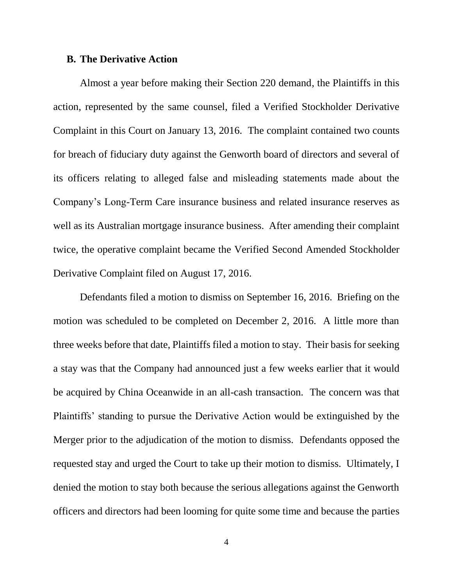#### **B. The Derivative Action**

Almost a year before making their Section 220 demand, the Plaintiffs in this action, represented by the same counsel, filed a Verified Stockholder Derivative Complaint in this Court on January 13, 2016. The complaint contained two counts for breach of fiduciary duty against the Genworth board of directors and several of its officers relating to alleged false and misleading statements made about the Company's Long-Term Care insurance business and related insurance reserves as well as its Australian mortgage insurance business. After amending their complaint twice, the operative complaint became the Verified Second Amended Stockholder Derivative Complaint filed on August 17, 2016.

Defendants filed a motion to dismiss on September 16, 2016. Briefing on the motion was scheduled to be completed on December 2, 2016. A little more than three weeks before that date, Plaintiffs filed a motion to stay. Their basis for seeking a stay was that the Company had announced just a few weeks earlier that it would be acquired by China Oceanwide in an all-cash transaction. The concern was that Plaintiffs' standing to pursue the Derivative Action would be extinguished by the Merger prior to the adjudication of the motion to dismiss. Defendants opposed the requested stay and urged the Court to take up their motion to dismiss. Ultimately, I denied the motion to stay both because the serious allegations against the Genworth officers and directors had been looming for quite some time and because the parties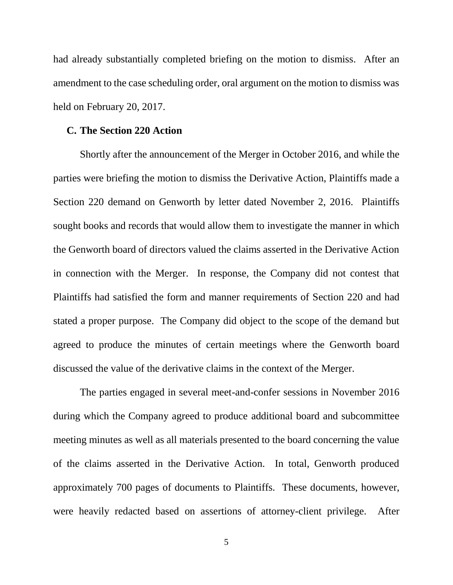had already substantially completed briefing on the motion to dismiss. After an amendment to the case scheduling order, oral argument on the motion to dismiss was held on February 20, 2017.

#### **C. The Section 220 Action**

Shortly after the announcement of the Merger in October 2016, and while the parties were briefing the motion to dismiss the Derivative Action, Plaintiffs made a Section 220 demand on Genworth by letter dated November 2, 2016. Plaintiffs sought books and records that would allow them to investigate the manner in which the Genworth board of directors valued the claims asserted in the Derivative Action in connection with the Merger. In response, the Company did not contest that Plaintiffs had satisfied the form and manner requirements of Section 220 and had stated a proper purpose. The Company did object to the scope of the demand but agreed to produce the minutes of certain meetings where the Genworth board discussed the value of the derivative claims in the context of the Merger.

The parties engaged in several meet-and-confer sessions in November 2016 during which the Company agreed to produce additional board and subcommittee meeting minutes as well as all materials presented to the board concerning the value of the claims asserted in the Derivative Action. In total, Genworth produced approximately 700 pages of documents to Plaintiffs. These documents, however, were heavily redacted based on assertions of attorney-client privilege. After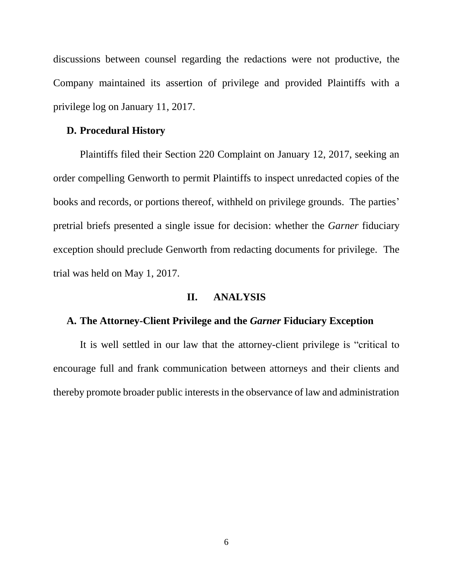discussions between counsel regarding the redactions were not productive, the Company maintained its assertion of privilege and provided Plaintiffs with a privilege log on January 11, 2017.

### **D. Procedural History**

Plaintiffs filed their Section 220 Complaint on January 12, 2017, seeking an order compelling Genworth to permit Plaintiffs to inspect unredacted copies of the books and records, or portions thereof, withheld on privilege grounds. The parties' pretrial briefs presented a single issue for decision: whether the *Garner* fiduciary exception should preclude Genworth from redacting documents for privilege. The trial was held on May 1, 2017.

#### **II. ANALYSIS**

#### **A. The Attorney-Client Privilege and the** *Garner* **Fiduciary Exception**

It is well settled in our law that the attorney-client privilege is "critical to encourage full and frank communication between attorneys and their clients and thereby promote broader public interests in the observance of law and administration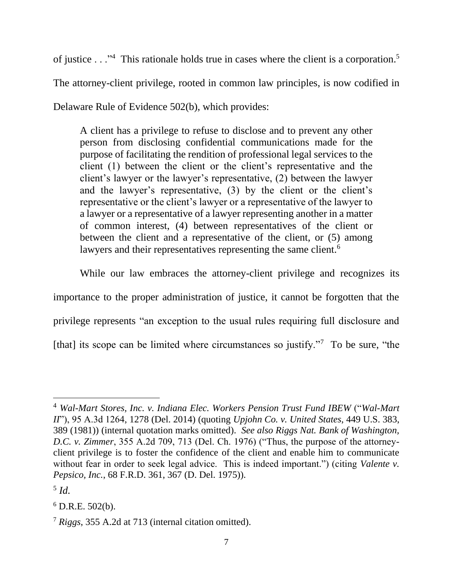of justice . . ."<sup>4</sup> This rationale holds true in cases where the client is a corporation.<sup>5</sup>

The attorney-client privilege, rooted in common law principles, is now codified in

Delaware Rule of Evidence 502(b), which provides:

A client has a privilege to refuse to disclose and to prevent any other person from disclosing confidential communications made for the purpose of facilitating the rendition of professional legal services to the client (1) between the client or the client's representative and the client's lawyer or the lawyer's representative, (2) between the lawyer and the lawyer's representative, (3) by the client or the client's representative or the client's lawyer or a representative of the lawyer to a lawyer or a representative of a lawyer representing another in a matter of common interest, (4) between representatives of the client or between the client and a representative of the client, or (5) among lawyers and their representatives representing the same client.<sup>6</sup>

While our law embraces the attorney-client privilege and recognizes its importance to the proper administration of justice, it cannot be forgotten that the

privilege represents "an exception to the usual rules requiring full disclosure and

[that] its scope can be limited where circumstances so justify."<sup>7</sup> To be sure, "the

l

<sup>4</sup> *Wal-Mart Stores, Inc. v. Indiana Elec. Workers Pension Trust Fund IBEW* ("*Wal-Mart II*"), 95 A.3d 1264, 1278 (Del. 2014) (quoting *Upjohn Co. v. United States*, 449 U.S. 383, 389 (1981)) (internal quotation marks omitted). *See also Riggs Nat. Bank of Washington, D.C. v. Zimmer*, 355 A.2d 709, 713 (Del. Ch. 1976) ("Thus, the purpose of the attorneyclient privilege is to foster the confidence of the client and enable him to communicate without fear in order to seek legal advice. This is indeed important.") (citing *Valente v. Pepsico, Inc.*, 68 F.R.D. 361, 367 (D. Del. 1975)).

<sup>5</sup> *Id.* 

 $6$  D.R.E. 502(b).

<sup>7</sup> *Riggs*, 355 A.2d at 713 (internal citation omitted).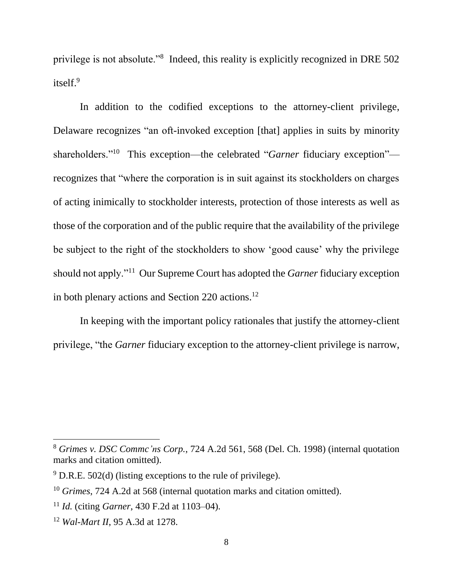privilege is not absolute."<sup>8</sup> Indeed, this reality is explicitly recognized in DRE 502 itself.<sup>9</sup>

In addition to the codified exceptions to the attorney-client privilege, Delaware recognizes "an oft-invoked exception [that] applies in suits by minority shareholders."<sup>10</sup> This exception—the celebrated "*Garner* fiduciary exception" recognizes that "where the corporation is in suit against its stockholders on charges of acting inimically to stockholder interests, protection of those interests as well as those of the corporation and of the public require that the availability of the privilege be subject to the right of the stockholders to show 'good cause' why the privilege should not apply."<sup>11</sup> Our Supreme Court has adopted the *Garner* fiduciary exception in both plenary actions and Section 220 actions.<sup>12</sup>

In keeping with the important policy rationales that justify the attorney-client privilege, "the *Garner* fiduciary exception to the attorney-client privilege is narrow,

 $\overline{a}$ 

<sup>8</sup> *Grimes v. DSC Commc'ns Corp.*, 724 A.2d 561, 568 (Del. Ch. 1998) (internal quotation marks and citation omitted).

 $9$  D.R.E. 502(d) (listing exceptions to the rule of privilege).

<sup>10</sup> *Grimes*, 724 A.2d at 568 (internal quotation marks and citation omitted).

<sup>11</sup> *Id.* (citing *Garner*, 430 F.2d at 1103–04).

<sup>12</sup> *Wal-Mart II*, 95 A.3d at 1278.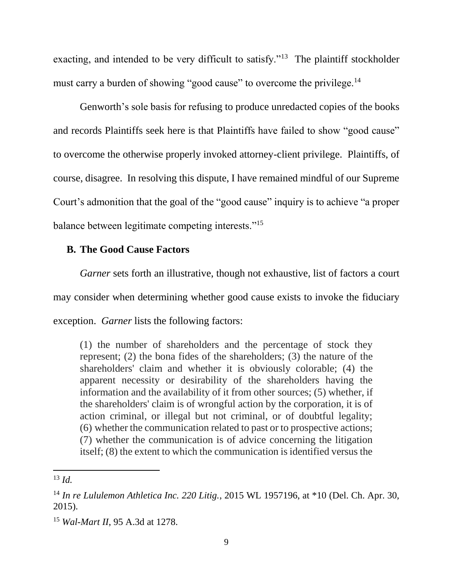exacting, and intended to be very difficult to satisfy."<sup>13</sup> The plaintiff stockholder must carry a burden of showing "good cause" to overcome the privilege.<sup>14</sup>

Genworth's sole basis for refusing to produce unredacted copies of the books and records Plaintiffs seek here is that Plaintiffs have failed to show "good cause" to overcome the otherwise properly invoked attorney-client privilege. Plaintiffs, of course, disagree. In resolving this dispute, I have remained mindful of our Supreme Court's admonition that the goal of the "good cause" inquiry is to achieve "a proper balance between legitimate competing interests."<sup>15</sup>

# **B. The Good Cause Factors**

*Garner* sets forth an illustrative, though not exhaustive, list of factors a court may consider when determining whether good cause exists to invoke the fiduciary exception. *Garner* lists the following factors:

(1) the number of shareholders and the percentage of stock they represent; (2) the bona fides of the shareholders; (3) the nature of the shareholders' claim and whether it is obviously colorable; (4) the apparent necessity or desirability of the shareholders having the information and the availability of it from other sources; (5) whether, if the shareholders' claim is of wrongful action by the corporation, it is of action criminal, or illegal but not criminal, or of doubtful legality; (6) whether the communication related to past or to prospective actions; (7) whether the communication is of advice concerning the litigation itself; (8) the extent to which the communication is identified versus the

<sup>13</sup> *Id.*

<sup>14</sup> *In re Lululemon Athletica Inc. 220 Litig.*, 2015 WL 1957196, at \*10 (Del. Ch. Apr. 30, 2015).

<sup>15</sup> *Wal-Mart II*, 95 A.3d at 1278.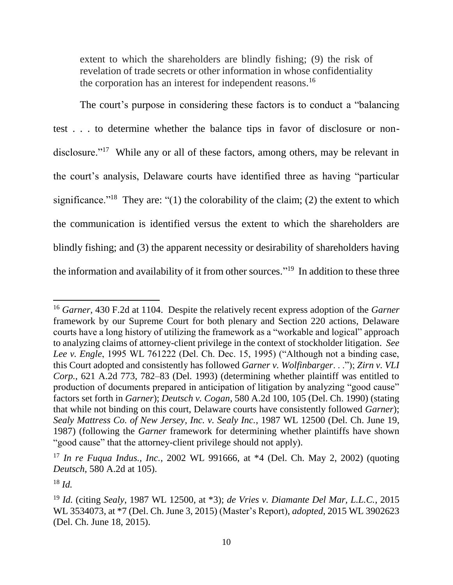extent to which the shareholders are blindly fishing; (9) the risk of revelation of trade secrets or other information in whose confidentiality the corporation has an interest for independent reasons.<sup>16</sup>

The court's purpose in considering these factors is to conduct a "balancing test . . . to determine whether the balance tips in favor of disclosure or nondisclosure."<sup>17</sup> While any or all of these factors, among others, may be relevant in the court's analysis, Delaware courts have identified three as having "particular significance."<sup>18</sup> They are: "(1) the colorability of the claim; (2) the extent to which the communication is identified versus the extent to which the shareholders are blindly fishing; and (3) the apparent necessity or desirability of shareholders having the information and availability of it from other sources."<sup>19</sup> In addition to these three

<sup>16</sup> *Garner*, 430 F.2d at 1104. Despite the relatively recent express adoption of the *Garner* framework by our Supreme Court for both plenary and Section 220 actions, Delaware courts have a long history of utilizing the framework as a "workable and logical" approach to analyzing claims of attorney-client privilege in the context of stockholder litigation. *See Lee v. Engle*, 1995 WL 761222 (Del. Ch. Dec. 15, 1995) ("Although not a binding case, this Court adopted and consistently has followed *Garner v. Wolfinbarger*. . ."); *Zirn v. VLI Corp.*, 621 A.2d 773, 782–83 (Del. 1993) (determining whether plaintiff was entitled to production of documents prepared in anticipation of litigation by analyzing "good cause" factors set forth in *Garner*); *Deutsch v. Cogan*, 580 A.2d 100, 105 (Del. Ch. 1990) (stating that while not binding on this court, Delaware courts have consistently followed *Garner*); *Sealy Mattress Co. of New Jersey, Inc. v. Sealy Inc.*, 1987 WL 12500 (Del. Ch. June 19, 1987) (following the *Garner* framework for determining whether plaintiffs have shown "good cause" that the attorney-client privilege should not apply).

<sup>17</sup> *In re Fuqua Indus., Inc.*, 2002 WL 991666, at \*4 (Del. Ch. May 2, 2002) (quoting *Deutsch*, 580 A.2d at 105).

 $18$  *Id.* 

<sup>19</sup> *Id.* (citing *Sealy*, 1987 WL 12500, at \*3); *de Vries v. Diamante Del Mar, L.L.C.*, 2015 WL 3534073, at \*7 (Del. Ch. June 3, 2015) (Master's Report), *adopted*, 2015 WL 3902623 (Del. Ch. June 18, 2015).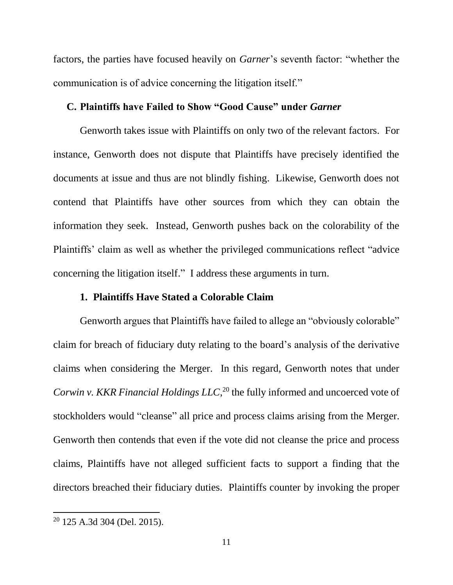factors, the parties have focused heavily on *Garner*'s seventh factor: "whether the communication is of advice concerning the litigation itself."

# **C. Plaintiffs have Failed to Show "Good Cause" under** *Garner*

Genworth takes issue with Plaintiffs on only two of the relevant factors. For instance, Genworth does not dispute that Plaintiffs have precisely identified the documents at issue and thus are not blindly fishing. Likewise, Genworth does not contend that Plaintiffs have other sources from which they can obtain the information they seek. Instead, Genworth pushes back on the colorability of the Plaintiffs' claim as well as whether the privileged communications reflect "advice concerning the litigation itself." I address these arguments in turn.

#### **1. Plaintiffs Have Stated a Colorable Claim**

Genworth argues that Plaintiffs have failed to allege an "obviously colorable" claim for breach of fiduciary duty relating to the board's analysis of the derivative claims when considering the Merger. In this regard, Genworth notes that under *Corwin v. KKR Financial Holdings LLC*, <sup>20</sup> the fully informed and uncoerced vote of stockholders would "cleanse" all price and process claims arising from the Merger. Genworth then contends that even if the vote did not cleanse the price and process claims, Plaintiffs have not alleged sufficient facts to support a finding that the directors breached their fiduciary duties. Plaintiffs counter by invoking the proper

<sup>20</sup> 125 A.3d 304 (Del. 2015).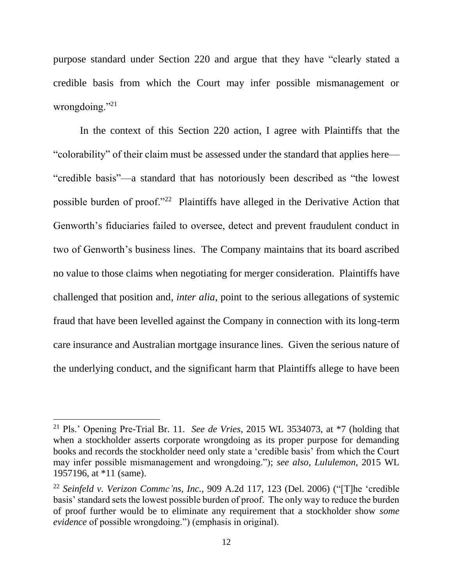purpose standard under Section 220 and argue that they have "clearly stated a credible basis from which the Court may infer possible mismanagement or wrongdoing."<sup>21</sup>

In the context of this Section 220 action, I agree with Plaintiffs that the "colorability" of their claim must be assessed under the standard that applies here— "credible basis"—a standard that has notoriously been described as "the lowest possible burden of proof."<sup>22</sup> Plaintiffs have alleged in the Derivative Action that Genworth's fiduciaries failed to oversee, detect and prevent fraudulent conduct in two of Genworth's business lines. The Company maintains that its board ascribed no value to those claims when negotiating for merger consideration. Plaintiffs have challenged that position and, *inter alia*, point to the serious allegations of systemic fraud that have been levelled against the Company in connection with its long-term care insurance and Australian mortgage insurance lines. Given the serious nature of the underlying conduct, and the significant harm that Plaintiffs allege to have been

<sup>21</sup> Pls.' Opening Pre-Trial Br. 11. *See de Vries*, 2015 WL 3534073, at \*7 (holding that when a stockholder asserts corporate wrongdoing as its proper purpose for demanding books and records the stockholder need only state a 'credible basis' from which the Court may infer possible mismanagement and wrongdoing."); *see also*, *Lululemon*, 2015 WL 1957196, at \*11 (same).

<sup>22</sup> *Seinfeld v. Verizon Commc'ns, Inc.*, 909 A.2d 117, 123 (Del. 2006) ("[T]he 'credible basis' standard sets the lowest possible burden of proof. The only way to reduce the burden of proof further would be to eliminate any requirement that a stockholder show *some evidence* of possible wrongdoing.") (emphasis in original).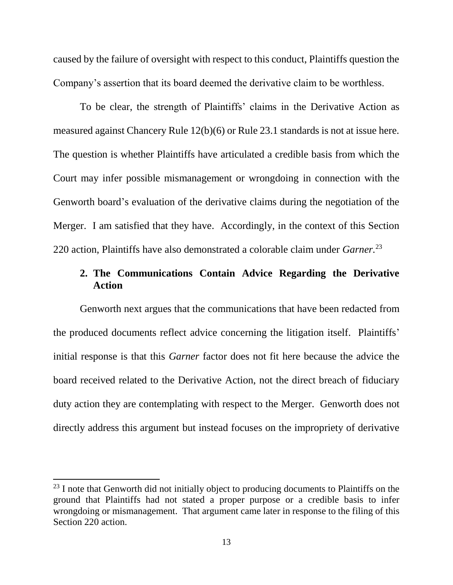caused by the failure of oversight with respect to this conduct, Plaintiffs question the Company's assertion that its board deemed the derivative claim to be worthless.

To be clear, the strength of Plaintiffs' claims in the Derivative Action as measured against Chancery Rule 12(b)(6) or Rule 23.1 standards is not at issue here. The question is whether Plaintiffs have articulated a credible basis from which the Court may infer possible mismanagement or wrongdoing in connection with the Genworth board's evaluation of the derivative claims during the negotiation of the Merger. I am satisfied that they have. Accordingly, in the context of this Section 220 action, Plaintiffs have also demonstrated a colorable claim under *Garner.*<sup>23</sup>

# **2. The Communications Contain Advice Regarding the Derivative Action**

Genworth next argues that the communications that have been redacted from the produced documents reflect advice concerning the litigation itself. Plaintiffs' initial response is that this *Garner* factor does not fit here because the advice the board received related to the Derivative Action, not the direct breach of fiduciary duty action they are contemplating with respect to the Merger. Genworth does not directly address this argument but instead focuses on the impropriety of derivative

 $23$  I note that Genworth did not initially object to producing documents to Plaintiffs on the ground that Plaintiffs had not stated a proper purpose or a credible basis to infer wrongdoing or mismanagement. That argument came later in response to the filing of this Section 220 action.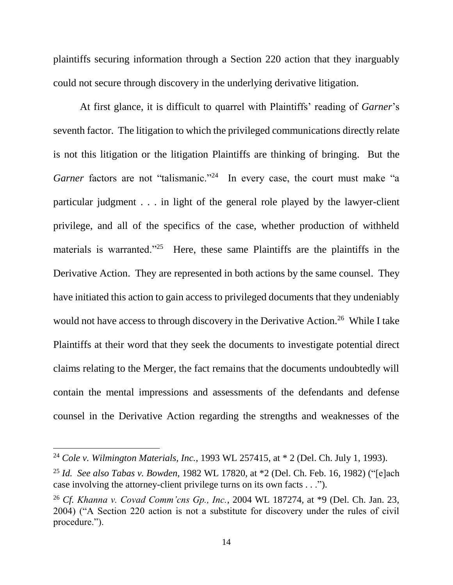plaintiffs securing information through a Section 220 action that they inarguably could not secure through discovery in the underlying derivative litigation.

At first glance, it is difficult to quarrel with Plaintiffs' reading of *Garner*'s seventh factor. The litigation to which the privileged communications directly relate is not this litigation or the litigation Plaintiffs are thinking of bringing. But the Garner factors are not "talismanic."<sup>24</sup> In every case, the court must make "a particular judgment . . . in light of the general role played by the lawyer-client privilege, and all of the specifics of the case, whether production of withheld materials is warranted."<sup>25</sup> Here, these same Plaintiffs are the plaintiffs in the Derivative Action. They are represented in both actions by the same counsel. They have initiated this action to gain access to privileged documents that they undeniably would not have access to through discovery in the Derivative Action.<sup>26</sup> While I take Plaintiffs at their word that they seek the documents to investigate potential direct claims relating to the Merger, the fact remains that the documents undoubtedly will contain the mental impressions and assessments of the defendants and defense counsel in the Derivative Action regarding the strengths and weaknesses of the

l

<sup>24</sup> *Cole v. Wilmington Materials, Inc.*, 1993 WL 257415, at \* 2 (Del. Ch. July 1, 1993).

<sup>25</sup> *Id. See also Tabas v. Bowden*, 1982 WL 17820, at \*2 (Del. Ch. Feb. 16, 1982) ("[e]ach case involving the attorney-client privilege turns on its own facts . . .").

<sup>26</sup> *Cf. Khanna v. Covad Comm'cns Gp., Inc.*, 2004 WL 187274, at \*9 (Del. Ch. Jan. 23, 2004) ("A Section 220 action is not a substitute for discovery under the rules of civil procedure.").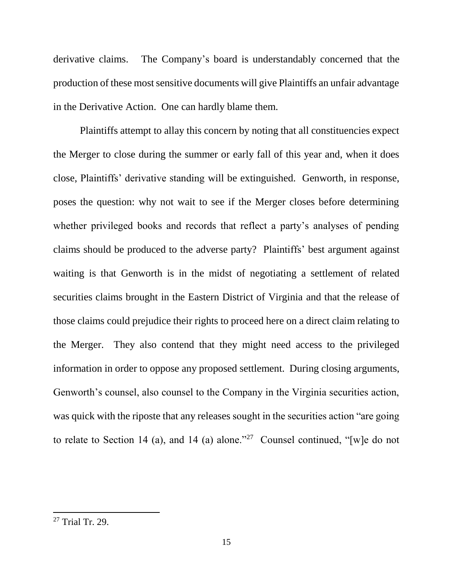derivative claims. The Company's board is understandably concerned that the production of these most sensitive documents will give Plaintiffs an unfair advantage in the Derivative Action. One can hardly blame them.

Plaintiffs attempt to allay this concern by noting that all constituencies expect the Merger to close during the summer or early fall of this year and, when it does close, Plaintiffs' derivative standing will be extinguished. Genworth, in response, poses the question: why not wait to see if the Merger closes before determining whether privileged books and records that reflect a party's analyses of pending claims should be produced to the adverse party? Plaintiffs' best argument against waiting is that Genworth is in the midst of negotiating a settlement of related securities claims brought in the Eastern District of Virginia and that the release of those claims could prejudice their rights to proceed here on a direct claim relating to the Merger. They also contend that they might need access to the privileged information in order to oppose any proposed settlement. During closing arguments, Genworth's counsel, also counsel to the Company in the Virginia securities action, was quick with the riposte that any releases sought in the securities action "are going to relate to Section 14 (a), and 14 (a) alone.<sup>227</sup> Counsel continued, "[w] e do not

<sup>27</sup> Trial Tr. 29.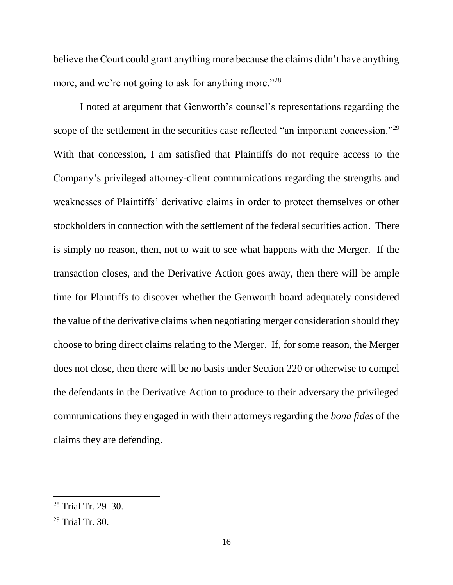believe the Court could grant anything more because the claims didn't have anything more, and we're not going to ask for anything more."<sup>28</sup>

I noted at argument that Genworth's counsel's representations regarding the scope of the settlement in the securities case reflected "an important concession."<sup>29</sup> With that concession, I am satisfied that Plaintiffs do not require access to the Company's privileged attorney-client communications regarding the strengths and weaknesses of Plaintiffs' derivative claims in order to protect themselves or other stockholders in connection with the settlement of the federal securities action. There is simply no reason, then, not to wait to see what happens with the Merger. If the transaction closes, and the Derivative Action goes away, then there will be ample time for Plaintiffs to discover whether the Genworth board adequately considered the value of the derivative claims when negotiating merger consideration should they choose to bring direct claims relating to the Merger. If, for some reason, the Merger does not close, then there will be no basis under Section 220 or otherwise to compel the defendants in the Derivative Action to produce to their adversary the privileged communications they engaged in with their attorneys regarding the *bona fides* of the claims they are defending.

<sup>28</sup> Trial Tr. 29–30.

 $29$  Trial Tr. 30.